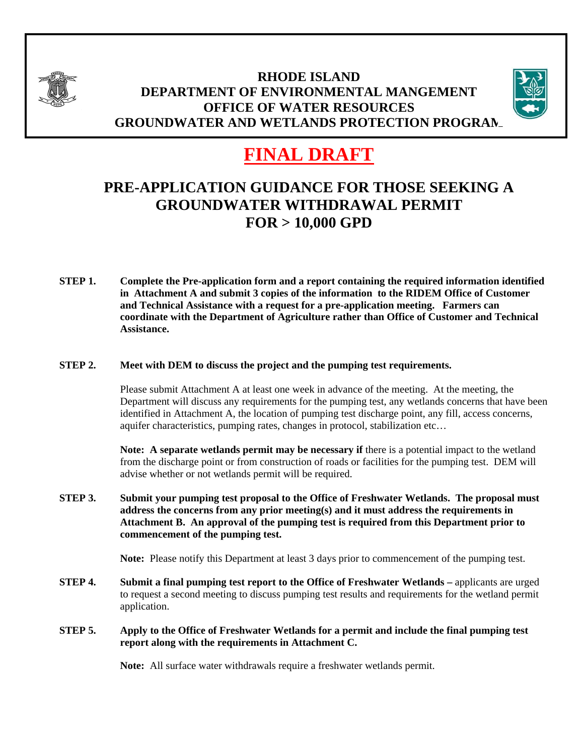

# **RHODE ISLAND DEPARTMENT OF ENVIRONMENTAL MANGEMENT OFFICE OF WATER RESOURCES GROUNDWATER AND WETLANDS PROTECTION PROGRAM**



# **FINAL DRAFT**

# **PRE-APPLICATION GUIDANCE FOR THOSE SEEKING A GROUNDWATER WITHDRAWAL PERMIT FOR > 10,000 GPD**

**STEP 1. Complete the Pre-application form and a report containing the required information identified in Attachment A and submit 3 copies of the information to the RIDEM Office of Customer and Technical Assistance with a request for a pre-application meeting. Farmers can coordinate with the Department of Agriculture rather than Office of Customer and Technical Assistance.** 

#### **STEP 2. Meet with DEM to discuss the project and the pumping test requirements.**

Please submit Attachment A at least one week in advance of the meeting. At the meeting, the Department will discuss any requirements for the pumping test, any wetlands concerns that have been identified in Attachment A, the location of pumping test discharge point, any fill, access concerns, aquifer characteristics, pumping rates, changes in protocol, stabilization etc…

**Note:** A separate wetlands permit may be necessary if there is a potential impact to the wetland from the discharge point or from construction of roads or facilities for the pumping test. DEM will advise whether or not wetlands permit will be required.

**STEP 3. Submit your pumping test proposal to the Office of Freshwater Wetlands. The proposal must address the concerns from any prior meeting(s) and it must address the requirements in Attachment B. An approval of the pumping test is required from this Department prior to commencement of the pumping test.** 

**Note:** Please notify this Department at least 3 days prior to commencement of the pumping test.

- **STEP 4.** Submit a final pumping test report to the Office of Freshwater Wetlands applicants are urged to request a second meeting to discuss pumping test results and requirements for the wetland permit application.
- **STEP 5. Apply to the Office of Freshwater Wetlands for a permit and include the final pumping test report along with the requirements in Attachment C.**

**Note:** All surface water withdrawals require a freshwater wetlands permit.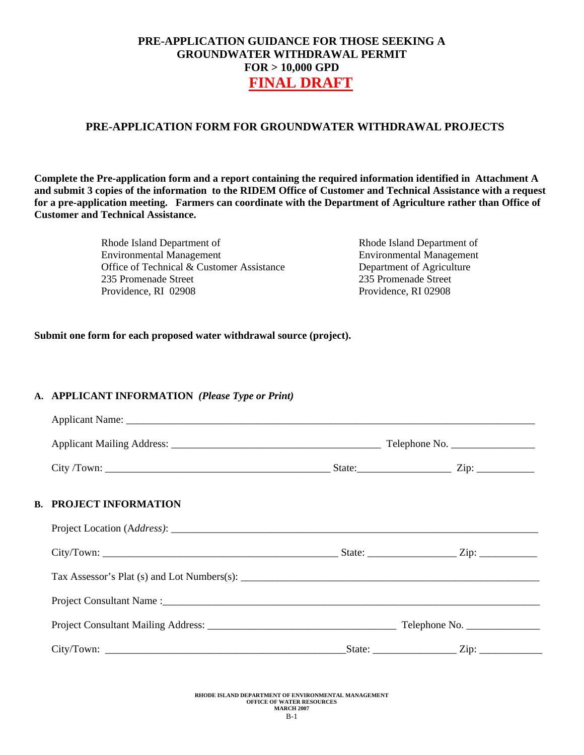## **PRE-APPLICATION FORM FOR GROUNDWATER WITHDRAWAL PROJECTS**

**Complete the Pre-application form and a report containing the required information identified in Attachment A and submit 3 copies of the information to the RIDEM Office of Customer and Technical Assistance with a request for a pre-application meeting. Farmers can coordinate with the Department of Agriculture rather than Office of Customer and Technical Assistance.** 

> Rhode Island Department of Environmental Management Office of Technical & Customer Assistance 235 Promenade Street Providence, RI 02908

Rhode Island Department of Environmental Management Department of Agriculture 235 Promenade Street Providence, RI 02908

#### **Submit one form for each proposed water withdrawal source (project).**

#### **A. APPLICANT INFORMATION** *(Please Type or Print)*

| $City/ Town:$ $Zip:$ |  |
|----------------------|--|
|                      |  |
|                      |  |
|                      |  |
|                      |  |
|                      |  |

#### **RHODE ISLAND DEPARTMENT OF ENVIRONMENTAL MANAGEMENT OFFICE OF WATER RESOURCES MARCH 2007**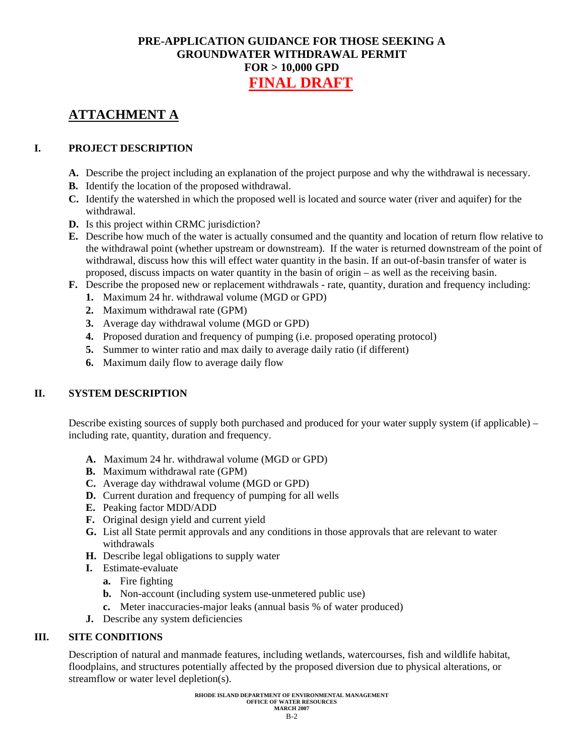# **ATTACHMENT A**

## **I. PROJECT DESCRIPTION**

- **A.** Describe the project including an explanation of the project purpose and why the withdrawal is necessary.
- **B.** Identify the location of the proposed withdrawal.
- **C.** Identify the watershed in which the proposed well is located and source water (river and aquifer) for the withdrawal.
- **D.** Is this project within CRMC jurisdiction?
- **E.** Describe how much of the water is actually consumed and the quantity and location of return flow relative to the withdrawal point (whether upstream or downstream). If the water is returned downstream of the point of withdrawal, discuss how this will effect water quantity in the basin. If an out-of-basin transfer of water is proposed, discuss impacts on water quantity in the basin of origin – as well as the receiving basin.
- **F.** Describe the proposed new or replacement withdrawals rate, quantity, duration and frequency including:
	- **1.** Maximum 24 hr. withdrawal volume (MGD or GPD)
	- **2.** Maximum withdrawal rate (GPM)
	- **3.** Average day withdrawal volume (MGD or GPD)
	- **4.** Proposed duration and frequency of pumping (i.e. proposed operating protocol)
	- **5.** Summer to winter ratio and max daily to average daily ratio (if different)
	- **6.** Maximum daily flow to average daily flow

#### **II. SYSTEM DESCRIPTION**

Describe existing sources of supply both purchased and produced for your water supply system (if applicable) – including rate, quantity, duration and frequency.

- **A.** Maximum 24 hr. withdrawal volume (MGD or GPD)
- **B.** Maximum withdrawal rate (GPM)
- **C.** Average day withdrawal volume (MGD or GPD)
- **D.** Current duration and frequency of pumping for all wells
- **E.** Peaking factor MDD/ADD
- **F.** Original design yield and current yield
- **G.** List all State permit approvals and any conditions in those approvals that are relevant to water withdrawals
- **H.** Describe legal obligations to supply water
- **I.** Estimate-evaluate
	- **a.** Fire fighting
	- **b.** Non-account (including system use-unmetered public use)
	- **c.** Meter inaccuracies-major leaks (annual basis % of water produced)
- **J.** Describe any system deficiencies

#### **III. SITE CONDITIONS**

Description of natural and manmade features, including wetlands, watercourses, fish and wildlife habitat, floodplains, and structures potentially affected by the proposed diversion due to physical alterations, or streamflow or water level depletion(s).

> **RHODE ISLAND DEPARTMENT OF ENVIRONMENTAL MANAGEMENT OFFICE OF WATER RESOURCES MARCH 2007**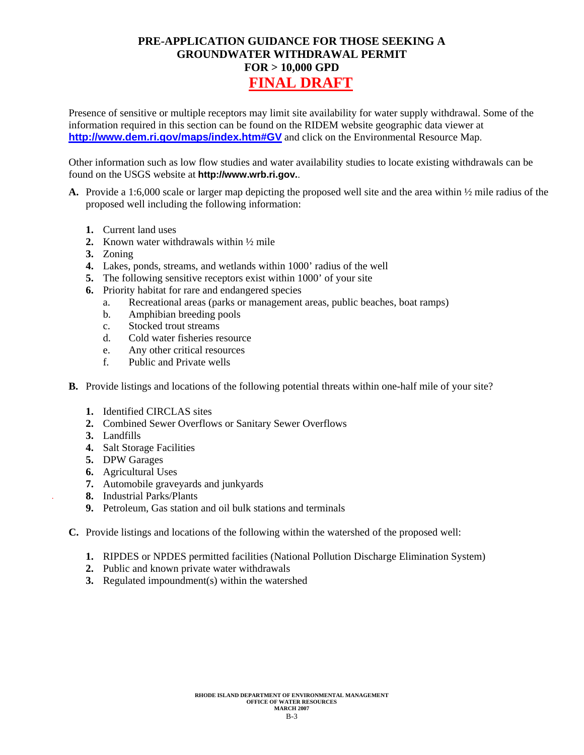Presence of sensitive or multiple receptors may limit site availability for water supply withdrawal. Some of the information required in this section can be found on the RIDEM website geographic data viewer at **<http://www.dem.ri.gov/maps/index.htm#GV>** and click on the Environmental Resource Map.

Other information such as low flow studies and water availability studies to locate existing withdrawals can be found on the USGS website at **http://www.wrb.ri.gov.**.

- **A.** Provide a 1:6,000 scale or larger map depicting the proposed well site and the area within ½ mile radius of the proposed well including the following information:
	- **1.** Current land uses
	- **2.** Known water withdrawals within ½ mile
	- **3.** Zoning
	- **4.** Lakes, ponds, streams, and wetlands within 1000' radius of the well
	- **5.** The following sensitive receptors exist within 1000' of your site
	- **6.** Priority habitat for rare and endangered species
		- a. Recreational areas (parks or management areas, public beaches, boat ramps)
		- b. Amphibian breeding pools
		- c. Stocked trout streams
		- d. Cold water fisheries resource
		- e. Any other critical resources
		- f. Public and Private wells
- **B.** Provide listings and locations of the following potential threats within one-half mile of your site?
	- **1.** Identified CIRCLAS sites
	- **2.** Combined Sewer Overflows or Sanitary Sewer Overflows
	- **3.** Landfills
	- **4.** Salt Storage Facilities
	- **5.** DPW Garages
	- **6.** Agricultural Uses
	- **7.** Automobile graveyards and junkyards
	- **8.** Industrial Parks/Plants
	- **9.** Petroleum, Gas station and oil bulk stations and terminals
- **C.** Provide listings and locations of the following within the watershed of the proposed well:
	- **1.** RIPDES or NPDES permitted facilities (National Pollution Discharge Elimination System)
	- **2.** Public and known private water withdrawals
	- **3.** Regulated impoundment(s) within the watershed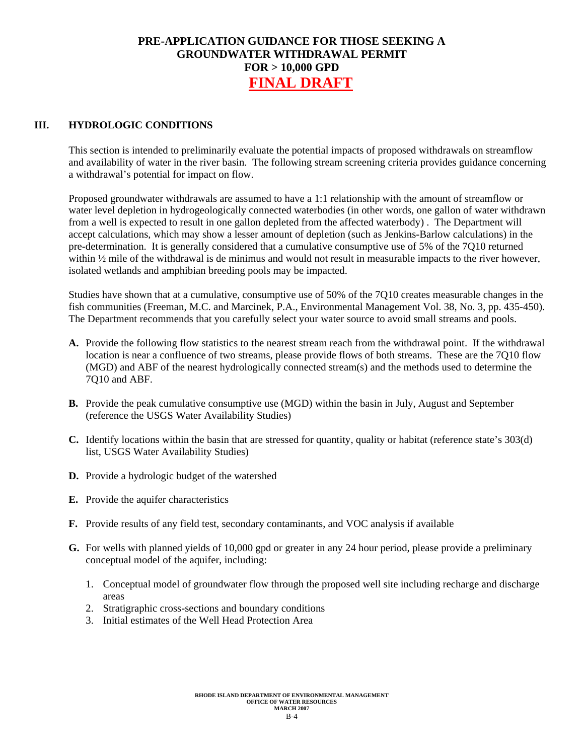#### **III. HYDROLOGIC CONDITIONS**

This section is intended to preliminarily evaluate the potential impacts of proposed withdrawals on streamflow and availability of water in the river basin. The following stream screening criteria provides guidance concerning a withdrawal's potential for impact on flow.

Proposed groundwater withdrawals are assumed to have a 1:1 relationship with the amount of streamflow or water level depletion in hydrogeologically connected waterbodies (in other words, one gallon of water withdrawn from a well is expected to result in one gallon depleted from the affected waterbody) . The Department will accept calculations, which may show a lesser amount of depletion (such as Jenkins-Barlow calculations) in the pre-determination. It is generally considered that a cumulative consumptive use of 5% of the 7Q10 returned within  $\frac{1}{2}$  mile of the withdrawal is de minimus and would not result in measurable impacts to the river however, isolated wetlands and amphibian breeding pools may be impacted.

Studies have shown that at a cumulative, consumptive use of 50% of the 7Q10 creates measurable changes in the fish communities (Freeman, M.C. and Marcinek, P.A., Environmental Management Vol. 38, No. 3, pp. 435-450). The Department recommends that you carefully select your water source to avoid small streams and pools.

- **A.** Provide the following flow statistics to the nearest stream reach from the withdrawal point. If the withdrawal location is near a confluence of two streams, please provide flows of both streams. These are the 7Q10 flow (MGD) and ABF of the nearest hydrologically connected stream(s) and the methods used to determine the 7Q10 and ABF.
- **B.** Provide the peak cumulative consumptive use (MGD) within the basin in July, August and September (reference the USGS Water Availability Studies)
- **C.** Identify locations within the basin that are stressed for quantity, quality or habitat (reference state's 303(d) list, USGS Water Availability Studies)
- **D.** Provide a hydrologic budget of the watershed
- **E.** Provide the aquifer characteristics
- **F.** Provide results of any field test, secondary contaminants, and VOC analysis if available
- **G.** For wells with planned yields of 10,000 gpd or greater in any 24 hour period, please provide a preliminary conceptual model of the aquifer, including:
	- 1. Conceptual model of groundwater flow through the proposed well site including recharge and discharge areas
	- 2. Stratigraphic cross-sections and boundary conditions
	- 3. Initial estimates of the Well Head Protection Area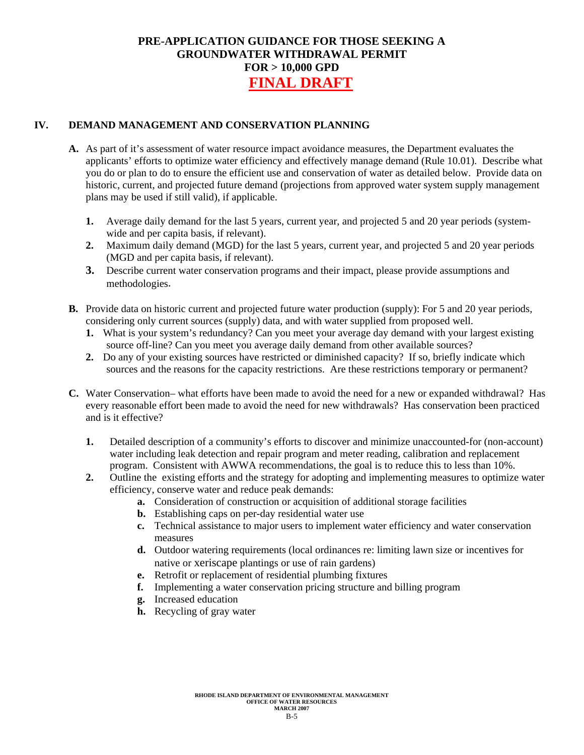#### **IV. DEMAND MANAGEMENT AND CONSERVATION PLANNING**

- **A.** As part of it's assessment of water resource impact avoidance measures, the Department evaluates the applicants' efforts to optimize water efficiency and effectively manage demand (Rule 10.01). Describe what you do or plan to do to ensure the efficient use and conservation of water as detailed below. Provide data on historic, current, and projected future demand (projections from approved water system supply management plans may be used if still valid), if applicable.
	- **1.** Average daily demand for the last 5 years, current year, and projected 5 and 20 year periods (systemwide and per capita basis, if relevant).
	- **2.** Maximum daily demand (MGD) for the last 5 years, current year, and projected 5 and 20 year periods (MGD and per capita basis, if relevant).
	- **3.** Describe current water conservation programs and their impact, please provide assumptions and methodologies.
- **B.** Provide data on historic current and projected future water production (supply): For 5 and 20 year periods, considering only current sources (supply) data, and with water supplied from proposed well.
	- **1.** What is your system's redundancy? Can you meet your average day demand with your largest existing source off-line? Can you meet you average daily demand from other available sources?
	- **2.** Do any of your existing sources have restricted or diminished capacity? If so, briefly indicate which sources and the reasons for the capacity restrictions. Are these restrictions temporary or permanent?
- **C.** Water Conservation– what efforts have been made to avoid the need for a new or expanded withdrawal? Has every reasonable effort been made to avoid the need for new withdrawals? Has conservation been practiced and is it effective?
	- **1.** Detailed description of a community's efforts to discover and minimize unaccounted-for (non-account) water including leak detection and repair program and meter reading, calibration and replacement program. Consistent with AWWA recommendations, the goal is to reduce this to less than 10%.
	- **2.** Outline the existing efforts and the strategy for adopting and implementing measures to optimize water efficiency, conserve water and reduce peak demands:
		- **a.** Consideration of construction or acquisition of additional storage facilities
		- **b.** Establishing caps on per-day residential water use
		- **c.** Technical assistance to major users to implement water efficiency and water conservation measures
		- **d.** Outdoor watering requirements (local ordinances re: limiting lawn size or incentives for native or xeriscape plantings or use of rain gardens)
		- **e.** Retrofit or replacement of residential plumbing fixtures
		- **f.** Implementing a water conservation pricing structure and billing program
		- **g.** Increased education
		- **h.** Recycling of gray water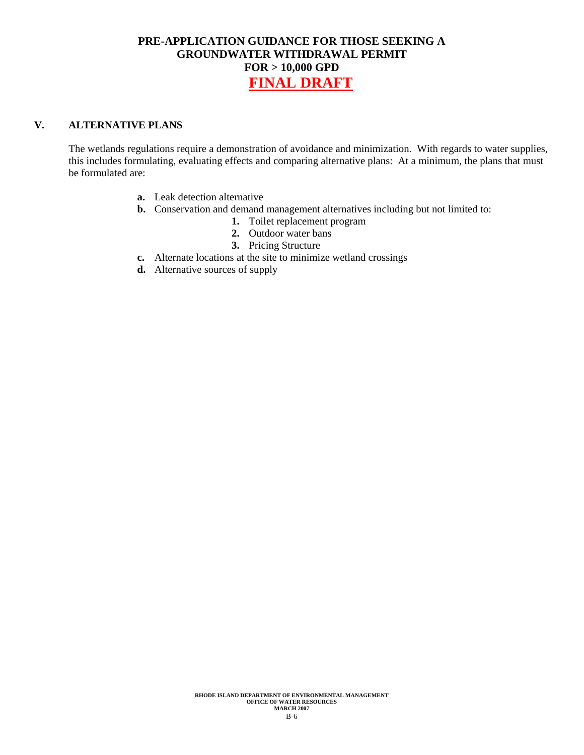#### **V. ALTERNATIVE PLANS**

The wetlands regulations require a demonstration of avoidance and minimization. With regards to water supplies, this includes formulating, evaluating effects and comparing alternative plans: At a minimum, the plans that must be formulated are:

- **a.** Leak detection alternative
- **b.** Conservation and demand management alternatives including but not limited to:
	- **1.** Toilet replacement program
	- **2.** Outdoor water bans
	- **3.** Pricing Structure
- **c.** Alternate locations at the site to minimize wetland crossings
- **d.** Alternative sources of supply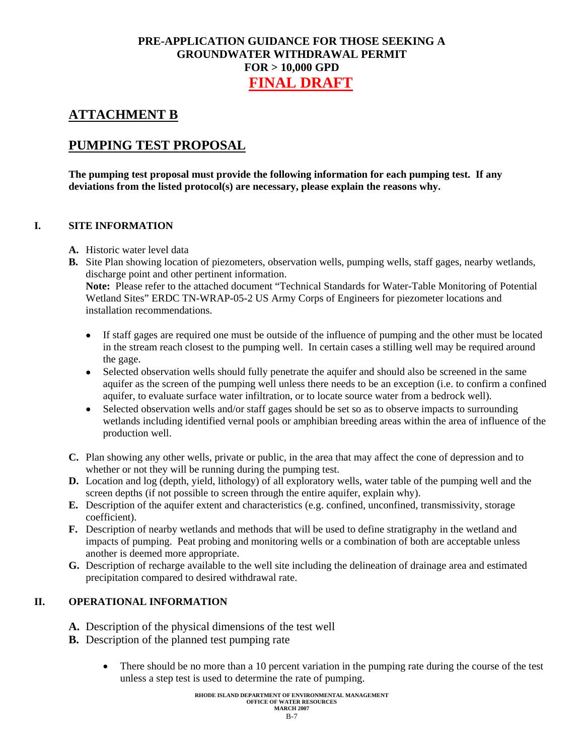# **ATTACHMENT B**

# **PUMPING TEST PROPOSAL**

**The pumping test proposal must provide the following information for each pumping test. If any deviations from the listed protocol(s) are necessary, please explain the reasons why.** 

#### **I. SITE INFORMATION**

- **A.** Historic water level data
- **B.** Site Plan showing location of piezometers, observation wells, pumping wells, staff gages, nearby wetlands, discharge point and other pertinent information. **Note:** Please refer to the attached document "Technical Standards for Water-Table Monitoring of Potential Wetland Sites" ERDC TN-WRAP-05-2 US Army Corps of Engineers for piezometer locations and installation recommendations.
	- If staff gages are required one must be outside of the influence of pumping and the other must be located in the stream reach closest to the pumping well. In certain cases a stilling well may be required around the gage.
	- Selected observation wells should fully penetrate the aquifer and should also be screened in the same aquifer as the screen of the pumping well unless there needs to be an exception (i.e. to confirm a confined aquifer, to evaluate surface water infiltration, or to locate source water from a bedrock well).
	- Selected observation wells and/or staff gages should be set so as to observe impacts to surrounding wetlands including identified vernal pools or amphibian breeding areas within the area of influence of the production well.
- **C.** Plan showing any other wells, private or public, in the area that may affect the cone of depression and to whether or not they will be running during the pumping test.
- **D.** Location and log (depth, yield, lithology) of all exploratory wells, water table of the pumping well and the screen depths (if not possible to screen through the entire aquifer, explain why).
- **E.** Description of the aquifer extent and characteristics (e.g. confined, unconfined, transmissivity, storage coefficient).
- **F.** Description of nearby wetlands and methods that will be used to define stratigraphy in the wetland and impacts of pumping. Peat probing and monitoring wells or a combination of both are acceptable unless another is deemed more appropriate.
- **G.** Description of recharge available to the well site including the delineation of drainage area and estimated precipitation compared to desired withdrawal rate.

## **II. OPERATIONAL INFORMATION**

- **A.** Description of the physical dimensions of the test well
- **B.** Description of the planned test pumping rate
	- There should be no more than a 10 percent variation in the pumping rate during the course of the test unless a step test is used to determine the rate of pumping.

**RHODE ISLAND DEPARTMENT OF ENVIRONMENTAL MANAGEMENT OFFICE OF WATER RESOURCES MARCH 2007**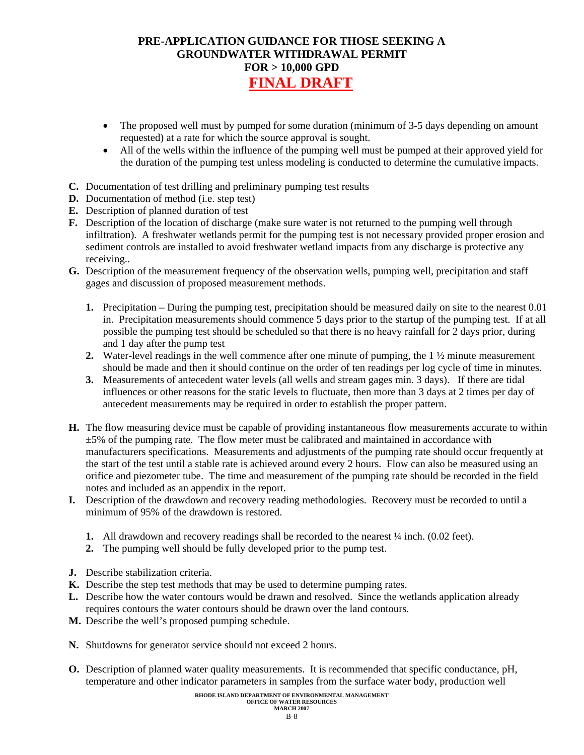- The proposed well must by pumped for some duration (minimum of 3-5 days depending on amount requested) at a rate for which the source approval is sought.
- All of the wells within the influence of the pumping well must be pumped at their approved yield for the duration of the pumping test unless modeling is conducted to determine the cumulative impacts.
- **C.** Documentation of test drilling and preliminary pumping test results
- **D.** Documentation of method (i.e. step test)
- **E.** Description of planned duration of test
- **F.** Description of the location of discharge (make sure water is not returned to the pumping well through infiltration). A freshwater wetlands permit for the pumping test is not necessary provided proper erosion and sediment controls are installed to avoid freshwater wetland impacts from any discharge is protective any receiving..
- **G.** Description of the measurement frequency of the observation wells, pumping well, precipitation and staff gages and discussion of proposed measurement methods.
	- **1.** Precipitation During the pumping test, precipitation should be measured daily on site to the nearest 0.01 in. Precipitation measurements should commence 5 days prior to the startup of the pumping test. If at all possible the pumping test should be scheduled so that there is no heavy rainfall for 2 days prior, during and 1 day after the pump test
	- **2.** Water-level readings in the well commence after one minute of pumping, the 1 ½ minute measurement should be made and then it should continue on the order of ten readings per log cycle of time in minutes.
	- **3.** Measurements of antecedent water levels (all wells and stream gages min. 3 days). If there are tidal influences or other reasons for the static levels to fluctuate, then more than 3 days at 2 times per day of antecedent measurements may be required in order to establish the proper pattern.
- **H.** The flow measuring device must be capable of providing instantaneous flow measurements accurate to within  $\pm$ 5% of the pumping rate. The flow meter must be calibrated and maintained in accordance with manufacturers specifications. Measurements and adjustments of the pumping rate should occur frequently at the start of the test until a stable rate is achieved around every 2 hours. Flow can also be measured using an orifice and piezometer tube. The time and measurement of the pumping rate should be recorded in the field notes and included as an appendix in the report.
- **I.** Description of the drawdown and recovery reading methodologies. Recovery must be recorded to until a minimum of 95% of the drawdown is restored.
	- **1.** All drawdown and recovery readings shall be recorded to the nearest  $\frac{1}{4}$  inch. (0.02 feet).
	- **2.** The pumping well should be fully developed prior to the pump test.
- **J.** Describe stabilization criteria.
- **K.** Describe the step test methods that may be used to determine pumping rates.
- **L.** Describe how the water contours would be drawn and resolved. Since the wetlands application already requires contours the water contours should be drawn over the land contours.
- **M.** Describe the well's proposed pumping schedule.
- **N.** Shutdowns for generator service should not exceed 2 hours.
- **O.** Description of planned water quality measurements. It is recommended that specific conductance, pH, temperature and other indicator parameters in samples from the surface water body, production well

#### **RHODE ISLAND DEPARTMENT OF ENVIRONMENTAL MANAGEMENT OFFICE OF WATER RESOURCES**

#### **MARCH 2007**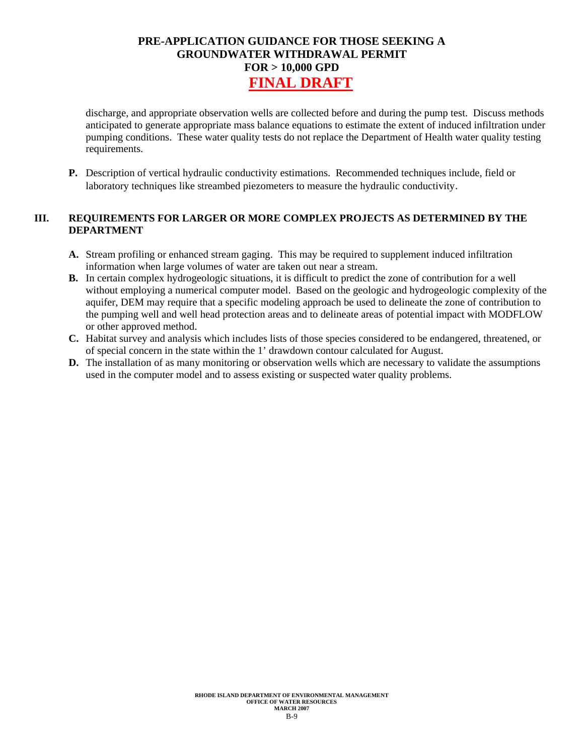discharge, and appropriate observation wells are collected before and during the pump test. Discuss methods anticipated to generate appropriate mass balance equations to estimate the extent of induced infiltration under pumping conditions. These water quality tests do not replace the Department of Health water quality testing requirements.

**P.** Description of vertical hydraulic conductivity estimations. Recommended techniques include, field or laboratory techniques like streambed piezometers to measure the hydraulic conductivity.

#### **III. REQUIREMENTS FOR LARGER OR MORE COMPLEX PROJECTS AS DETERMINED BY THE DEPARTMENT**

- **A.** Stream profiling or enhanced stream gaging. This may be required to supplement induced infiltration information when large volumes of water are taken out near a stream.
- **B.** In certain complex hydrogeologic situations, it is difficult to predict the zone of contribution for a well without employing a numerical computer model. Based on the geologic and hydrogeologic complexity of the aquifer, DEM may require that a specific modeling approach be used to delineate the zone of contribution to the pumping well and well head protection areas and to delineate areas of potential impact with MODFLOW or other approved method.
- **C.** Habitat survey and analysis which includes lists of those species considered to be endangered, threatened, or of special concern in the state within the 1' drawdown contour calculated for August.
- **D.** The installation of as many monitoring or observation wells which are necessary to validate the assumptions used in the computer model and to assess existing or suspected water quality problems.